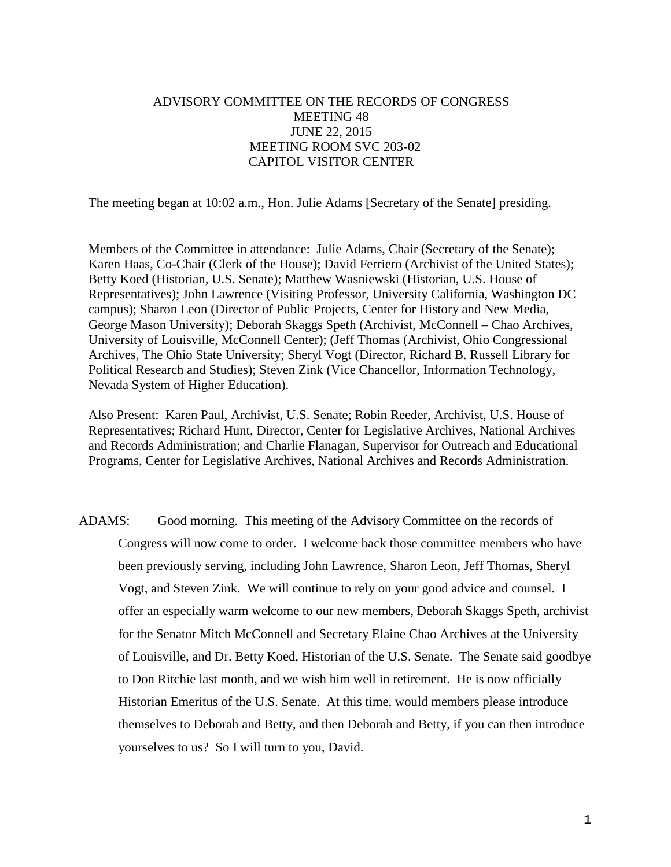# ADVISORY COMMITTEE ON THE RECORDS OF CONGRESS MEETING 48 JUNE 22, 2015 MEETING ROOM SVC 203-02 CAPITOL VISITOR CENTER

The meeting began at 10:02 a.m., Hon. Julie Adams [Secretary of the Senate] presiding.

Members of the Committee in attendance: Julie Adams, Chair (Secretary of the Senate); Karen Haas, Co-Chair (Clerk of the House); David Ferriero (Archivist of the United States); Betty Koed (Historian, U.S. Senate); Matthew Wasniewski (Historian, U.S. House of Representatives); John Lawrence (Visiting Professor, University California, Washington DC campus); Sharon Leon (Director of Public Projects, Center for History and New Media, George Mason University); Deborah Skaggs Speth (Archivist, McConnell – Chao Archives, University of Louisville, McConnell Center); (Jeff Thomas (Archivist, Ohio Congressional Archives, The Ohio State University; Sheryl Vogt (Director, Richard B. Russell Library for Political Research and Studies); Steven Zink (Vice Chancellor, Information Technology, Nevada System of Higher Education).

Also Present: Karen Paul, Archivist, U.S. Senate; Robin Reeder, Archivist, U.S. House of Representatives; Richard Hunt, Director, Center for Legislative Archives, National Archives and Records Administration; and Charlie Flanagan, Supervisor for Outreach and Educational Programs, Center for Legislative Archives, National Archives and Records Administration.

ADAMS: Good morning. This meeting of the Advisory Committee on the records of Congress will now come to order. I welcome back those committee members who have been previously serving, including John Lawrence, Sharon Leon, Jeff Thomas, Sheryl Vogt, and Steven Zink. We will continue to rely on your good advice and counsel. I offer an especially warm welcome to our new members, Deborah Skaggs Speth, archivist for the Senator Mitch McConnell and Secretary Elaine Chao Archives at the University of Louisville, and Dr. Betty Koed, Historian of the U.S. Senate. The Senate said goodbye to Don Ritchie last month, and we wish him well in retirement. He is now officially Historian Emeritus of the U.S. Senate. At this time, would members please introduce themselves to Deborah and Betty, and then Deborah and Betty, if you can then introduce yourselves to us? So I will turn to you, David.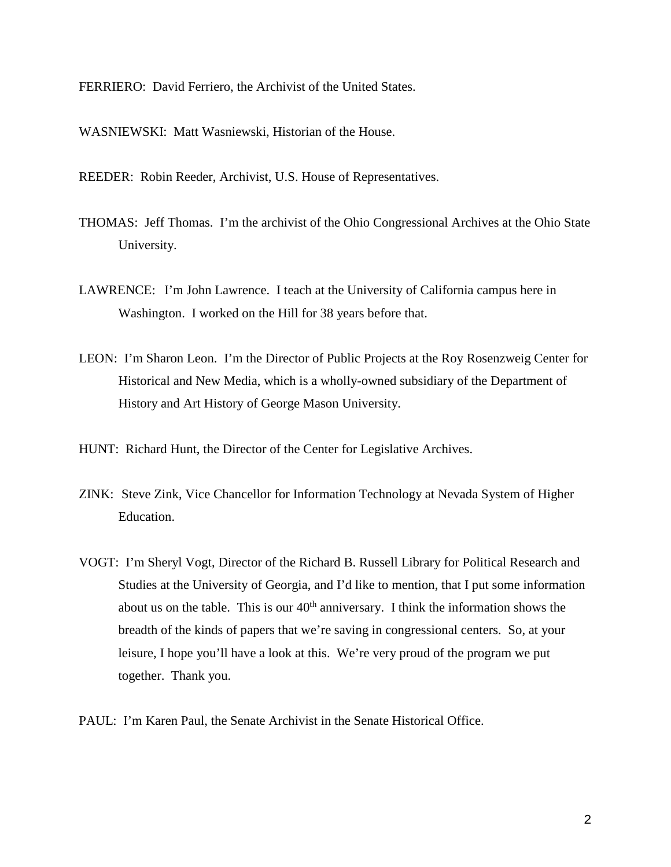FERRIERO: David Ferriero, the Archivist of the United States.

WASNIEWSKI: Matt Wasniewski, Historian of the House.

REEDER: Robin Reeder, Archivist, U.S. House of Representatives.

- THOMAS: Jeff Thomas. I'm the archivist of the Ohio Congressional Archives at the Ohio State University.
- LAWRENCE: I'm John Lawrence. I teach at the University of California campus here in Washington. I worked on the Hill for 38 years before that.
- LEON: I'm Sharon Leon. I'm the Director of Public Projects at the Roy Rosenzweig Center for Historical and New Media, which is a wholly-owned subsidiary of the Department of History and Art History of George Mason University.
- HUNT: Richard Hunt, the Director of the Center for Legislative Archives.
- ZINK: Steve Zink, Vice Chancellor for Information Technology at Nevada System of Higher Education.
- VOGT: I'm Sheryl Vogt, Director of the Richard B. Russell Library for Political Research and Studies at the University of Georgia, and I'd like to mention, that I put some information about us on the table. This is our  $40<sup>th</sup>$  anniversary. I think the information shows the breadth of the kinds of papers that we're saving in congressional centers. So, at your leisure, I hope you'll have a look at this. We're very proud of the program we put together. Thank you.
- PAUL: I'm Karen Paul, the Senate Archivist in the Senate Historical Office.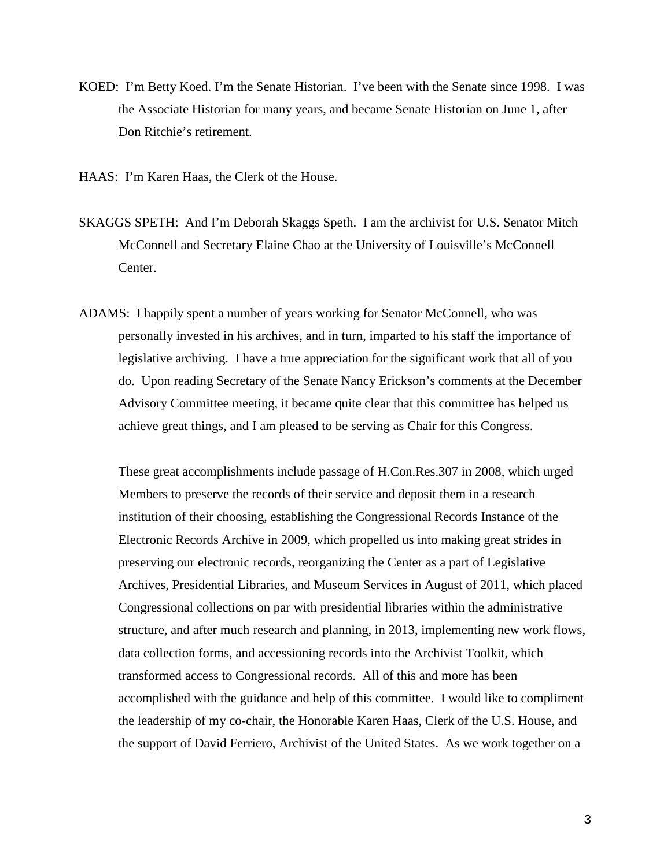KOED: I'm Betty Koed. I'm the Senate Historian. I've been with the Senate since 1998. I was the Associate Historian for many years, and became Senate Historian on June 1, after Don Ritchie's retirement.

HAAS: I'm Karen Haas, the Clerk of the House.

- SKAGGS SPETH: And I'm Deborah Skaggs Speth. I am the archivist for U.S. Senator Mitch McConnell and Secretary Elaine Chao at the University of Louisville's McConnell Center.
- ADAMS: I happily spent a number of years working for Senator McConnell, who was personally invested in his archives, and in turn, imparted to his staff the importance of legislative archiving. I have a true appreciation for the significant work that all of you do. Upon reading Secretary of the Senate Nancy Erickson's comments at the December Advisory Committee meeting, it became quite clear that this committee has helped us achieve great things, and I am pleased to be serving as Chair for this Congress.

These great accomplishments include passage of H.Con.Res.307 in 2008, which urged Members to preserve the records of their service and deposit them in a research institution of their choosing, establishing the Congressional Records Instance of the Electronic Records Archive in 2009, which propelled us into making great strides in preserving our electronic records, reorganizing the Center as a part of Legislative Archives, Presidential Libraries, and Museum Services in August of 2011, which placed Congressional collections on par with presidential libraries within the administrative structure, and after much research and planning, in 2013, implementing new work flows, data collection forms, and accessioning records into the Archivist Toolkit, which transformed access to Congressional records. All of this and more has been accomplished with the guidance and help of this committee. I would like to compliment the leadership of my co-chair, the Honorable Karen Haas, Clerk of the U.S. House, and the support of David Ferriero, Archivist of the United States. As we work together on a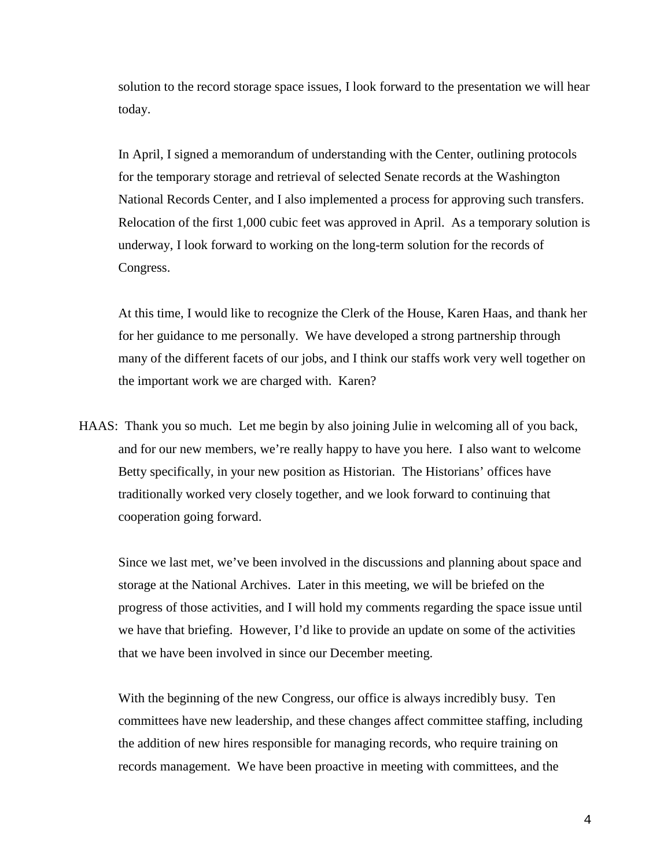solution to the record storage space issues, I look forward to the presentation we will hear today.

In April, I signed a memorandum of understanding with the Center, outlining protocols for the temporary storage and retrieval of selected Senate records at the Washington National Records Center, and I also implemented a process for approving such transfers. Relocation of the first 1,000 cubic feet was approved in April. As a temporary solution is underway, I look forward to working on the long-term solution for the records of Congress.

At this time, I would like to recognize the Clerk of the House, Karen Haas, and thank her for her guidance to me personally. We have developed a strong partnership through many of the different facets of our jobs, and I think our staffs work very well together on the important work we are charged with. Karen?

HAAS: Thank you so much. Let me begin by also joining Julie in welcoming all of you back, and for our new members, we're really happy to have you here. I also want to welcome Betty specifically, in your new position as Historian. The Historians' offices have traditionally worked very closely together, and we look forward to continuing that cooperation going forward.

Since we last met, we've been involved in the discussions and planning about space and storage at the National Archives. Later in this meeting, we will be briefed on the progress of those activities, and I will hold my comments regarding the space issue until we have that briefing. However, I'd like to provide an update on some of the activities that we have been involved in since our December meeting.

With the beginning of the new Congress, our office is always incredibly busy. Ten committees have new leadership, and these changes affect committee staffing, including the addition of new hires responsible for managing records, who require training on records management. We have been proactive in meeting with committees, and the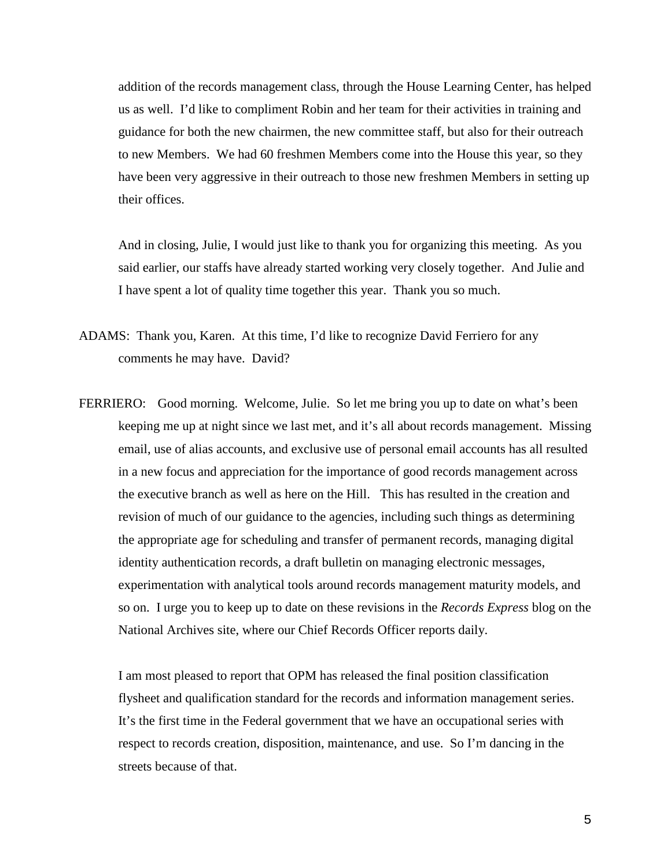addition of the records management class, through the House Learning Center, has helped us as well. I'd like to compliment Robin and her team for their activities in training and guidance for both the new chairmen, the new committee staff, but also for their outreach to new Members. We had 60 freshmen Members come into the House this year, so they have been very aggressive in their outreach to those new freshmen Members in setting up their offices.

And in closing, Julie, I would just like to thank you for organizing this meeting. As you said earlier, our staffs have already started working very closely together. And Julie and I have spent a lot of quality time together this year. Thank you so much.

- ADAMS: Thank you, Karen. At this time, I'd like to recognize David Ferriero for any comments he may have. David?
- FERRIERO: Good morning. Welcome, Julie. So let me bring you up to date on what's been keeping me up at night since we last met, and it's all about records management. Missing email, use of alias accounts, and exclusive use of personal email accounts has all resulted in a new focus and appreciation for the importance of good records management across the executive branch as well as here on the Hill. This has resulted in the creation and revision of much of our guidance to the agencies, including such things as determining the appropriate age for scheduling and transfer of permanent records, managing digital identity authentication records, a draft bulletin on managing electronic messages, experimentation with analytical tools around records management maturity models, and so on. I urge you to keep up to date on these revisions in the *Records Express* blog on the National Archives site, where our Chief Records Officer reports daily.

I am most pleased to report that OPM has released the final position classification flysheet and qualification standard for the records and information management series. It's the first time in the Federal government that we have an occupational series with respect to records creation, disposition, maintenance, and use. So I'm dancing in the streets because of that.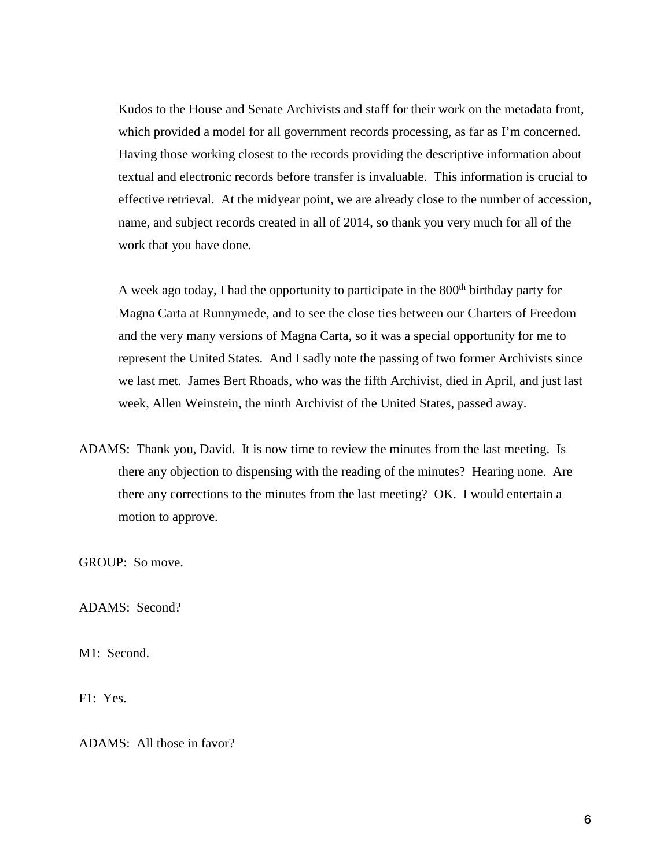Kudos to the House and Senate Archivists and staff for their work on the metadata front, which provided a model for all government records processing, as far as I'm concerned. Having those working closest to the records providing the descriptive information about textual and electronic records before transfer is invaluable. This information is crucial to effective retrieval. At the midyear point, we are already close to the number of accession, name, and subject records created in all of 2014, so thank you very much for all of the work that you have done.

A week ago today, I had the opportunity to participate in the  $800<sup>th</sup>$  birthday party for Magna Carta at Runnymede, and to see the close ties between our Charters of Freedom and the very many versions of Magna Carta, so it was a special opportunity for me to represent the United States. And I sadly note the passing of two former Archivists since we last met. James Bert Rhoads, who was the fifth Archivist, died in April, and just last week, Allen Weinstein, the ninth Archivist of the United States, passed away.

ADAMS: Thank you, David. It is now time to review the minutes from the last meeting. Is there any objection to dispensing with the reading of the minutes? Hearing none. Are there any corrections to the minutes from the last meeting? OK. I would entertain a motion to approve.

GROUP: So move.

ADAMS: Second?

M1: Second.

F1: Yes.

ADAMS: All those in favor?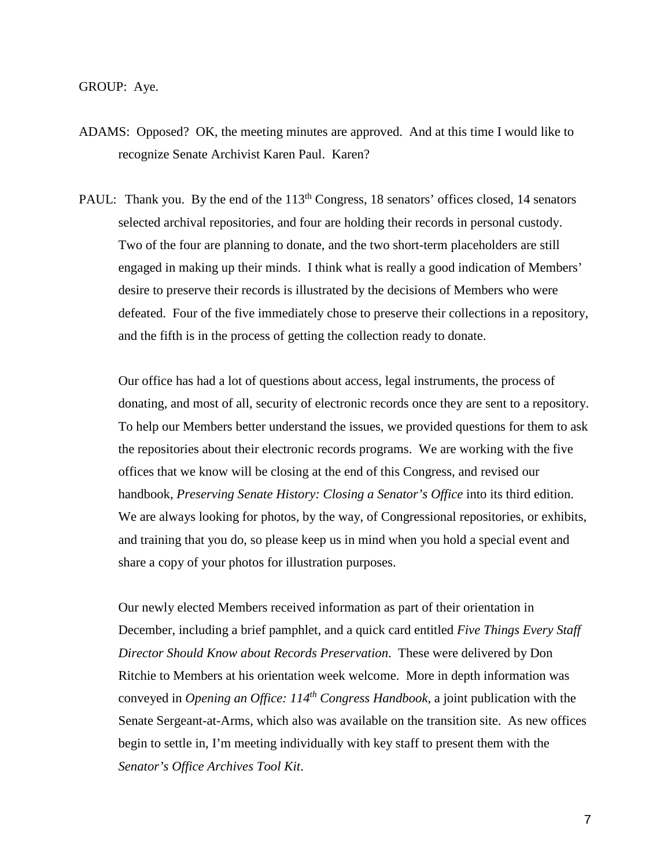- ADAMS: Opposed? OK, the meeting minutes are approved. And at this time I would like to recognize Senate Archivist Karen Paul. Karen?
- PAUL: Thank you. By the end of the 113<sup>th</sup> Congress, 18 senators' offices closed, 14 senators selected archival repositories, and four are holding their records in personal custody. Two of the four are planning to donate, and the two short-term placeholders are still engaged in making up their minds. I think what is really a good indication of Members' desire to preserve their records is illustrated by the decisions of Members who were defeated. Four of the five immediately chose to preserve their collections in a repository, and the fifth is in the process of getting the collection ready to donate.

Our office has had a lot of questions about access, legal instruments, the process of donating, and most of all, security of electronic records once they are sent to a repository. To help our Members better understand the issues, we provided questions for them to ask the repositories about their electronic records programs. We are working with the five offices that we know will be closing at the end of this Congress, and revised our handbook, *Preserving Senate History: Closing a Senator's Office* into its third edition. We are always looking for photos, by the way, of Congressional repositories, or exhibits, and training that you do, so please keep us in mind when you hold a special event and share a copy of your photos for illustration purposes.

Our newly elected Members received information as part of their orientation in December, including a brief pamphlet, and a quick card entitled *Five Things Every Staff Director Should Know about Records Preservation*. These were delivered by Don Ritchie to Members at his orientation week welcome. More in depth information was conveyed in *Opening an Office: 114th Congress Handbook*, a joint publication with the Senate Sergeant-at-Arms, which also was available on the transition site. As new offices begin to settle in, I'm meeting individually with key staff to present them with the *Senator's Office Archives Tool Kit*.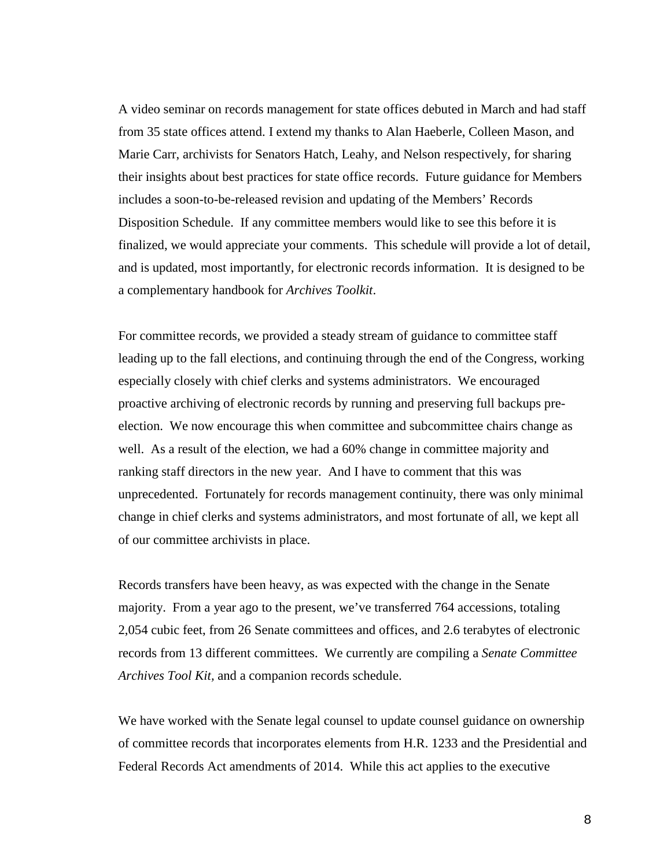A video seminar on records management for state offices debuted in March and had staff from 35 state offices attend. I extend my thanks to Alan Haeberle, Colleen Mason, and Marie Carr, archivists for Senators Hatch, Leahy, and Nelson respectively, for sharing their insights about best practices for state office records. Future guidance for Members includes a soon-to-be-released revision and updating of the Members' Records Disposition Schedule. If any committee members would like to see this before it is finalized, we would appreciate your comments. This schedule will provide a lot of detail, and is updated, most importantly, for electronic records information. It is designed to be a complementary handbook for *Archives Toolkit*.

For committee records, we provided a steady stream of guidance to committee staff leading up to the fall elections, and continuing through the end of the Congress, working especially closely with chief clerks and systems administrators. We encouraged proactive archiving of electronic records by running and preserving full backups preelection. We now encourage this when committee and subcommittee chairs change as well. As a result of the election, we had a 60% change in committee majority and ranking staff directors in the new year. And I have to comment that this was unprecedented. Fortunately for records management continuity, there was only minimal change in chief clerks and systems administrators, and most fortunate of all, we kept all of our committee archivists in place.

Records transfers have been heavy, as was expected with the change in the Senate majority. From a year ago to the present, we've transferred 764 accessions, totaling 2,054 cubic feet, from 26 Senate committees and offices, and 2.6 terabytes of electronic records from 13 different committees. We currently are compiling a *Senate Committee Archives Tool Kit,* and a companion records schedule.

We have worked with the Senate legal counsel to update counsel guidance on ownership of committee records that incorporates elements from H.R. 1233 and the Presidential and Federal Records Act amendments of 2014. While this act applies to the executive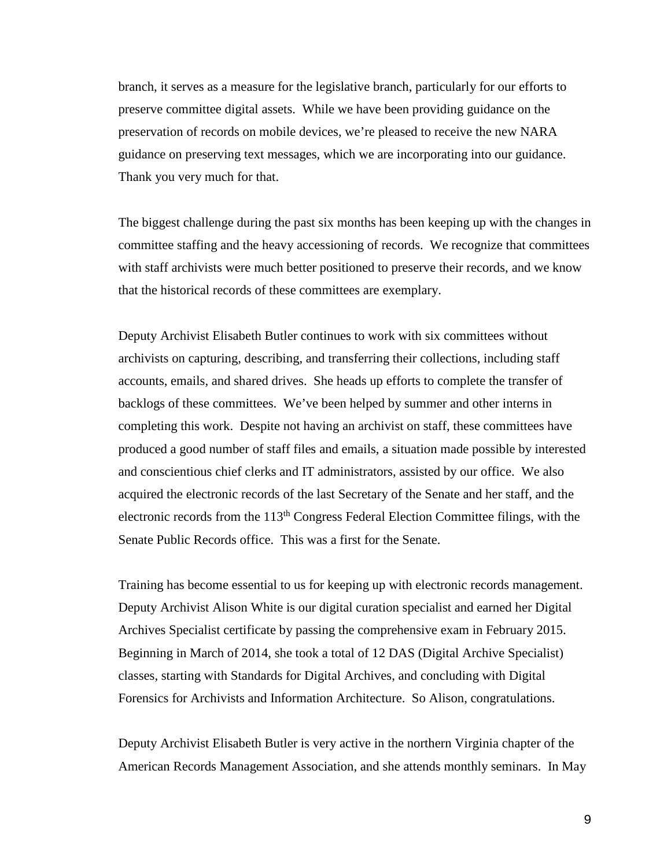branch, it serves as a measure for the legislative branch, particularly for our efforts to preserve committee digital assets. While we have been providing guidance on the preservation of records on mobile devices, we're pleased to receive the new NARA guidance on preserving text messages, which we are incorporating into our guidance. Thank you very much for that.

The biggest challenge during the past six months has been keeping up with the changes in committee staffing and the heavy accessioning of records. We recognize that committees with staff archivists were much better positioned to preserve their records, and we know that the historical records of these committees are exemplary.

Deputy Archivist Elisabeth Butler continues to work with six committees without archivists on capturing, describing, and transferring their collections, including staff accounts, emails, and shared drives. She heads up efforts to complete the transfer of backlogs of these committees. We've been helped by summer and other interns in completing this work. Despite not having an archivist on staff, these committees have produced a good number of staff files and emails, a situation made possible by interested and conscientious chief clerks and IT administrators, assisted by our office. We also acquired the electronic records of the last Secretary of the Senate and her staff, and the electronic records from the 113th Congress Federal Election Committee filings, with the Senate Public Records office. This was a first for the Senate.

Training has become essential to us for keeping up with electronic records management. Deputy Archivist Alison White is our digital curation specialist and earned her Digital Archives Specialist certificate by passing the comprehensive exam in February 2015. Beginning in March of 2014, she took a total of 12 DAS (Digital Archive Specialist) classes, starting with Standards for Digital Archives, and concluding with Digital Forensics for Archivists and Information Architecture. So Alison, congratulations.

Deputy Archivist Elisabeth Butler is very active in the northern Virginia chapter of the American Records Management Association, and she attends monthly seminars. In May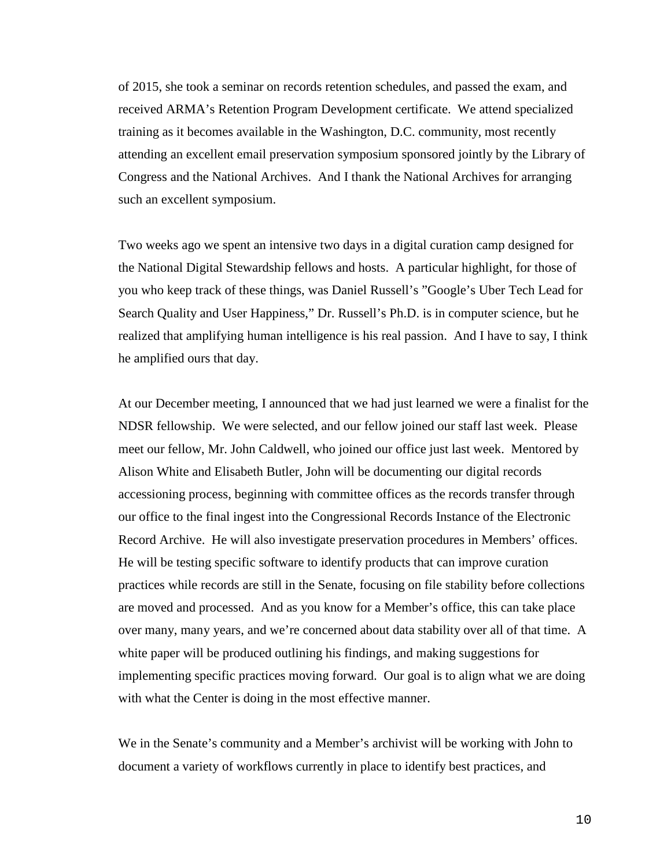of 2015, she took a seminar on records retention schedules, and passed the exam, and received ARMA's Retention Program Development certificate. We attend specialized training as it becomes available in the Washington, D.C. community, most recently attending an excellent email preservation symposium sponsored jointly by the Library of Congress and the National Archives. And I thank the National Archives for arranging such an excellent symposium.

Two weeks ago we spent an intensive two days in a digital curation camp designed for the National Digital Stewardship fellows and hosts. A particular highlight, for those of you who keep track of these things, was Daniel Russell's "Google's Uber Tech Lead for Search Quality and User Happiness," Dr. Russell's Ph.D. is in computer science, but he realized that amplifying human intelligence is his real passion. And I have to say, I think he amplified ours that day.

At our December meeting, I announced that we had just learned we were a finalist for the NDSR fellowship. We were selected, and our fellow joined our staff last week. Please meet our fellow, Mr. John Caldwell, who joined our office just last week. Mentored by Alison White and Elisabeth Butler, John will be documenting our digital records accessioning process, beginning with committee offices as the records transfer through our office to the final ingest into the Congressional Records Instance of the Electronic Record Archive. He will also investigate preservation procedures in Members' offices. He will be testing specific software to identify products that can improve curation practices while records are still in the Senate, focusing on file stability before collections are moved and processed. And as you know for a Member's office, this can take place over many, many years, and we're concerned about data stability over all of that time. A white paper will be produced outlining his findings, and making suggestions for implementing specific practices moving forward. Our goal is to align what we are doing with what the Center is doing in the most effective manner.

We in the Senate's community and a Member's archivist will be working with John to document a variety of workflows currently in place to identify best practices, and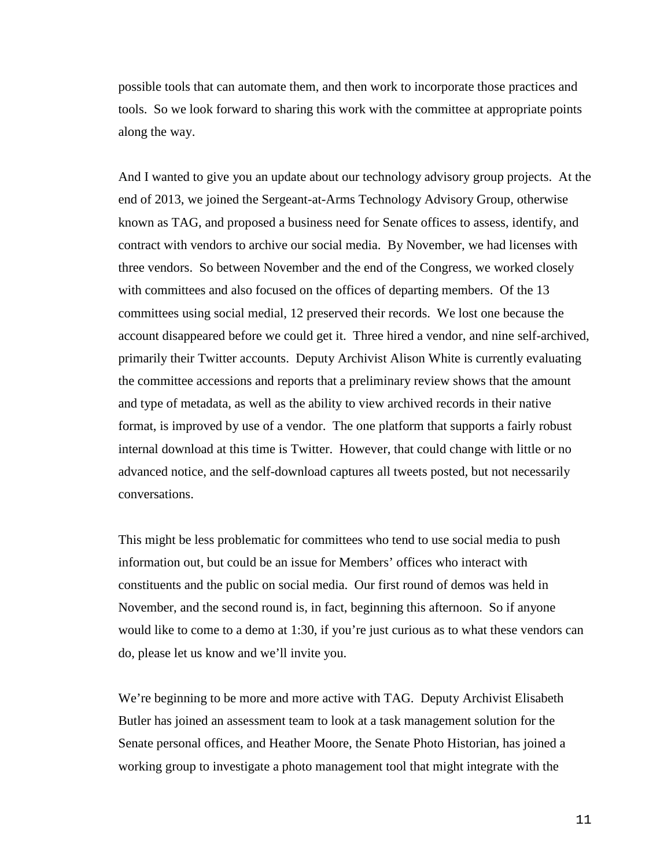possible tools that can automate them, and then work to incorporate those practices and tools. So we look forward to sharing this work with the committee at appropriate points along the way.

And I wanted to give you an update about our technology advisory group projects. At the end of 2013, we joined the Sergeant-at-Arms Technology Advisory Group, otherwise known as TAG, and proposed a business need for Senate offices to assess, identify, and contract with vendors to archive our social media. By November, we had licenses with three vendors. So between November and the end of the Congress, we worked closely with committees and also focused on the offices of departing members. Of the 13 committees using social medial, 12 preserved their records. We lost one because the account disappeared before we could get it. Three hired a vendor, and nine self-archived, primarily their Twitter accounts. Deputy Archivist Alison White is currently evaluating the committee accessions and reports that a preliminary review shows that the amount and type of metadata, as well as the ability to view archived records in their native format, is improved by use of a vendor. The one platform that supports a fairly robust internal download at this time is Twitter. However, that could change with little or no advanced notice, and the self-download captures all tweets posted, but not necessarily conversations.

This might be less problematic for committees who tend to use social media to push information out, but could be an issue for Members' offices who interact with constituents and the public on social media. Our first round of demos was held in November, and the second round is, in fact, beginning this afternoon. So if anyone would like to come to a demo at 1:30, if you're just curious as to what these vendors can do, please let us know and we'll invite you.

We're beginning to be more and more active with TAG. Deputy Archivist Elisabeth Butler has joined an assessment team to look at a task management solution for the Senate personal offices, and Heather Moore, the Senate Photo Historian, has joined a working group to investigate a photo management tool that might integrate with the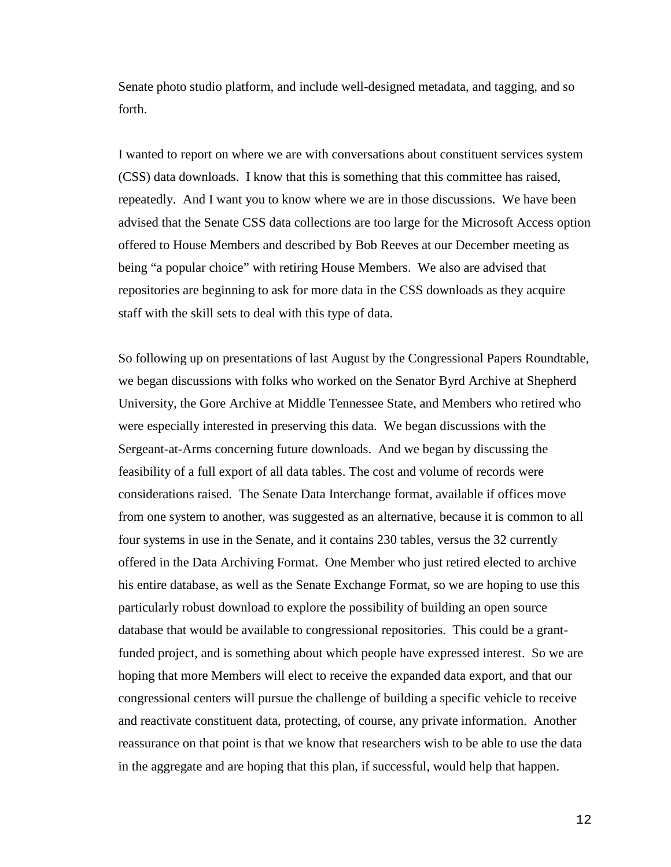Senate photo studio platform, and include well-designed metadata, and tagging, and so forth.

I wanted to report on where we are with conversations about constituent services system (CSS) data downloads. I know that this is something that this committee has raised, repeatedly. And I want you to know where we are in those discussions. We have been advised that the Senate CSS data collections are too large for the Microsoft Access option offered to House Members and described by Bob Reeves at our December meeting as being "a popular choice" with retiring House Members. We also are advised that repositories are beginning to ask for more data in the CSS downloads as they acquire staff with the skill sets to deal with this type of data.

So following up on presentations of last August by the Congressional Papers Roundtable, we began discussions with folks who worked on the Senator Byrd Archive at Shepherd University, the Gore Archive at Middle Tennessee State, and Members who retired who were especially interested in preserving this data. We began discussions with the Sergeant-at-Arms concerning future downloads. And we began by discussing the feasibility of a full export of all data tables. The cost and volume of records were considerations raised. The Senate Data Interchange format, available if offices move from one system to another, was suggested as an alternative, because it is common to all four systems in use in the Senate, and it contains 230 tables, versus the 32 currently offered in the Data Archiving Format. One Member who just retired elected to archive his entire database, as well as the Senate Exchange Format, so we are hoping to use this particularly robust download to explore the possibility of building an open source database that would be available to congressional repositories. This could be a grantfunded project, and is something about which people have expressed interest. So we are hoping that more Members will elect to receive the expanded data export, and that our congressional centers will pursue the challenge of building a specific vehicle to receive and reactivate constituent data, protecting, of course, any private information. Another reassurance on that point is that we know that researchers wish to be able to use the data in the aggregate and are hoping that this plan, if successful, would help that happen.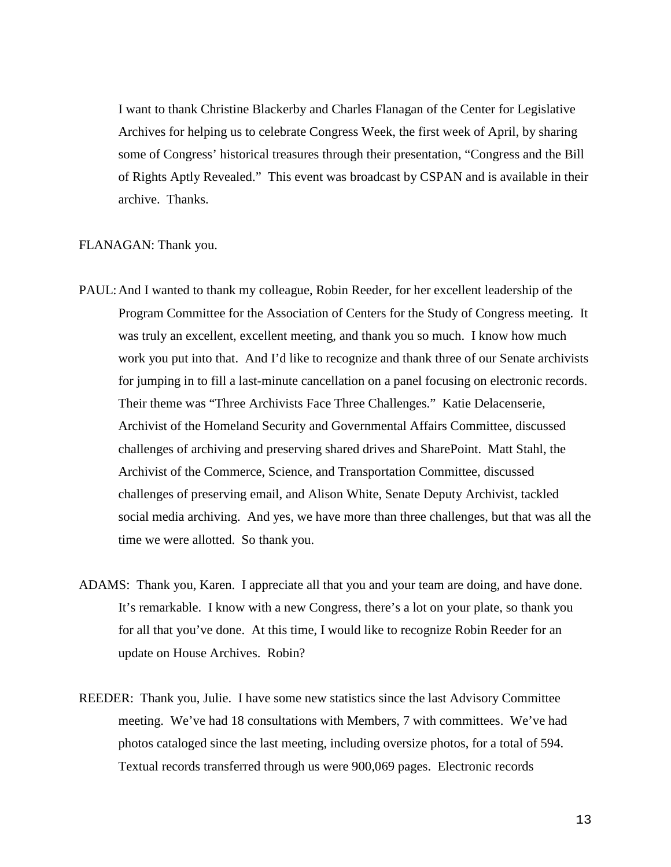I want to thank Christine Blackerby and Charles Flanagan of the Center for Legislative Archives for helping us to celebrate Congress Week, the first week of April, by sharing some of Congress' historical treasures through their presentation, "Congress and the Bill of Rights Aptly Revealed." This event was broadcast by CSPAN and is available in their archive. Thanks.

#### FLANAGAN: Thank you.

- PAUL:And I wanted to thank my colleague, Robin Reeder, for her excellent leadership of the Program Committee for the Association of Centers for the Study of Congress meeting. It was truly an excellent, excellent meeting, and thank you so much. I know how much work you put into that. And I'd like to recognize and thank three of our Senate archivists for jumping in to fill a last-minute cancellation on a panel focusing on electronic records. Their theme was "Three Archivists Face Three Challenges." Katie Delacenserie, Archivist of the Homeland Security and Governmental Affairs Committee, discussed challenges of archiving and preserving shared drives and SharePoint. Matt Stahl, the Archivist of the Commerce, Science, and Transportation Committee, discussed challenges of preserving email, and Alison White, Senate Deputy Archivist, tackled social media archiving. And yes, we have more than three challenges, but that was all the time we were allotted. So thank you.
- ADAMS: Thank you, Karen. I appreciate all that you and your team are doing, and have done. It's remarkable. I know with a new Congress, there's a lot on your plate, so thank you for all that you've done. At this time, I would like to recognize Robin Reeder for an update on House Archives. Robin?
- REEDER: Thank you, Julie. I have some new statistics since the last Advisory Committee meeting. We've had 18 consultations with Members, 7 with committees. We've had photos cataloged since the last meeting, including oversize photos, for a total of 594. Textual records transferred through us were 900,069 pages. Electronic records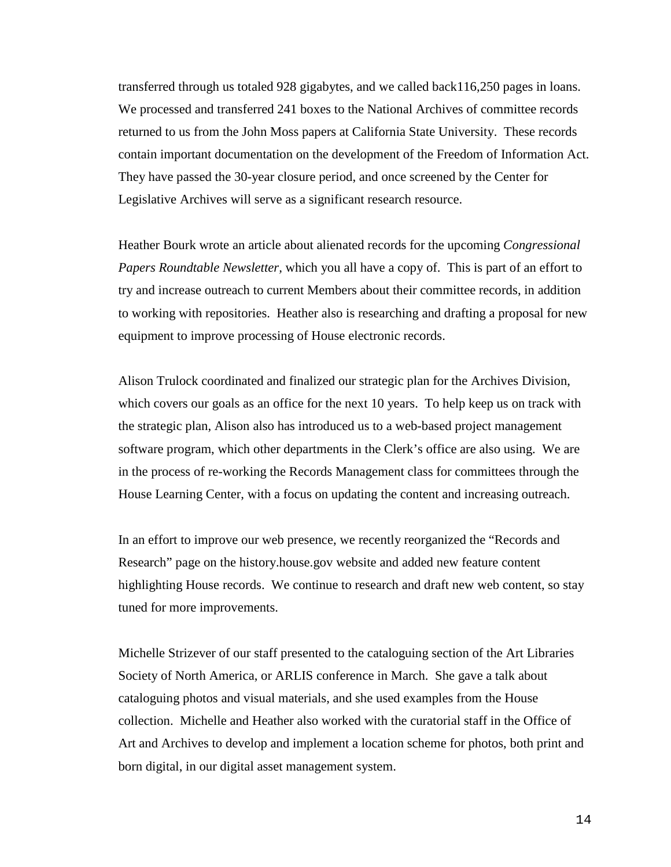transferred through us totaled 928 gigabytes, and we called back116,250 pages in loans. We processed and transferred 241 boxes to the National Archives of committee records returned to us from the John Moss papers at California State University. These records contain important documentation on the development of the Freedom of Information Act. They have passed the 30-year closure period, and once screened by the Center for Legislative Archives will serve as a significant research resource.

Heather Bourk wrote an article about alienated records for the upcoming *Congressional Papers Roundtable Newsletter,* which you all have a copy of. This is part of an effort to try and increase outreach to current Members about their committee records, in addition to working with repositories. Heather also is researching and drafting a proposal for new equipment to improve processing of House electronic records.

Alison Trulock coordinated and finalized our strategic plan for the Archives Division, which covers our goals as an office for the next 10 years. To help keep us on track with the strategic plan, Alison also has introduced us to a web-based project management software program, which other departments in the Clerk's office are also using. We are in the process of re-working the Records Management class for committees through the House Learning Center, with a focus on updating the content and increasing outreach.

In an effort to improve our web presence, we recently reorganized the "Records and Research" page on the history.house.gov website and added new feature content highlighting House records. We continue to research and draft new web content, so stay tuned for more improvements.

Michelle Strizever of our staff presented to the cataloguing section of the Art Libraries Society of North America, or ARLIS conference in March. She gave a talk about cataloguing photos and visual materials, and she used examples from the House collection. Michelle and Heather also worked with the curatorial staff in the Office of Art and Archives to develop and implement a location scheme for photos, both print and born digital, in our digital asset management system.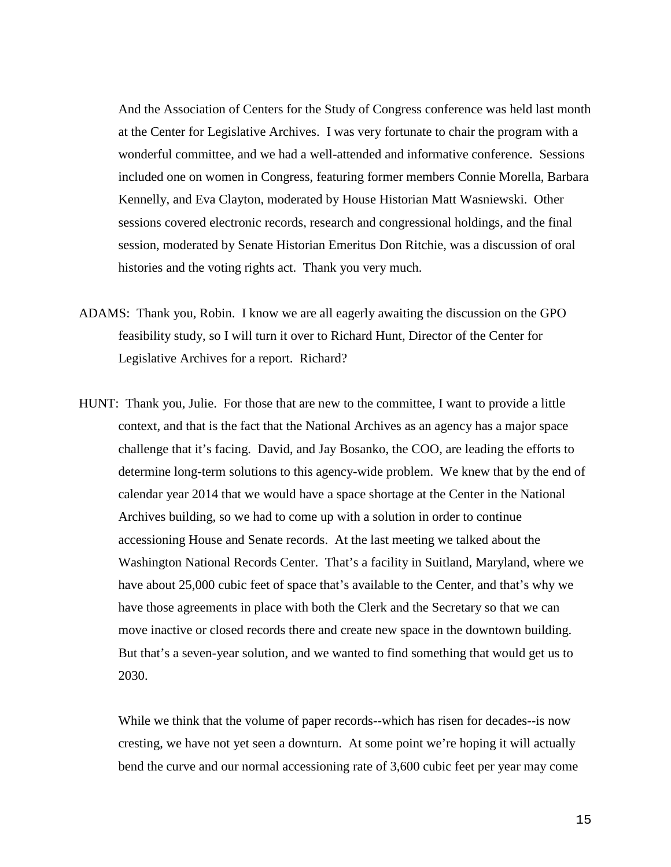And the Association of Centers for the Study of Congress conference was held last month at the Center for Legislative Archives. I was very fortunate to chair the program with a wonderful committee, and we had a well-attended and informative conference. Sessions included one on women in Congress, featuring former members Connie Morella, Barbara Kennelly, and Eva Clayton, moderated by House Historian Matt Wasniewski. Other sessions covered electronic records, research and congressional holdings, and the final session, moderated by Senate Historian Emeritus Don Ritchie, was a discussion of oral histories and the voting rights act. Thank you very much.

- ADAMS: Thank you, Robin. I know we are all eagerly awaiting the discussion on the GPO feasibility study, so I will turn it over to Richard Hunt, Director of the Center for Legislative Archives for a report. Richard?
- HUNT: Thank you, Julie. For those that are new to the committee, I want to provide a little context, and that is the fact that the National Archives as an agency has a major space challenge that it's facing. David, and Jay Bosanko, the COO, are leading the efforts to determine long-term solutions to this agency-wide problem. We knew that by the end of calendar year 2014 that we would have a space shortage at the Center in the National Archives building, so we had to come up with a solution in order to continue accessioning House and Senate records. At the last meeting we talked about the Washington National Records Center. That's a facility in Suitland, Maryland, where we have about 25,000 cubic feet of space that's available to the Center, and that's why we have those agreements in place with both the Clerk and the Secretary so that we can move inactive or closed records there and create new space in the downtown building. But that's a seven-year solution, and we wanted to find something that would get us to 2030.

While we think that the volume of paper records--which has risen for decades--is now cresting, we have not yet seen a downturn. At some point we're hoping it will actually bend the curve and our normal accessioning rate of 3,600 cubic feet per year may come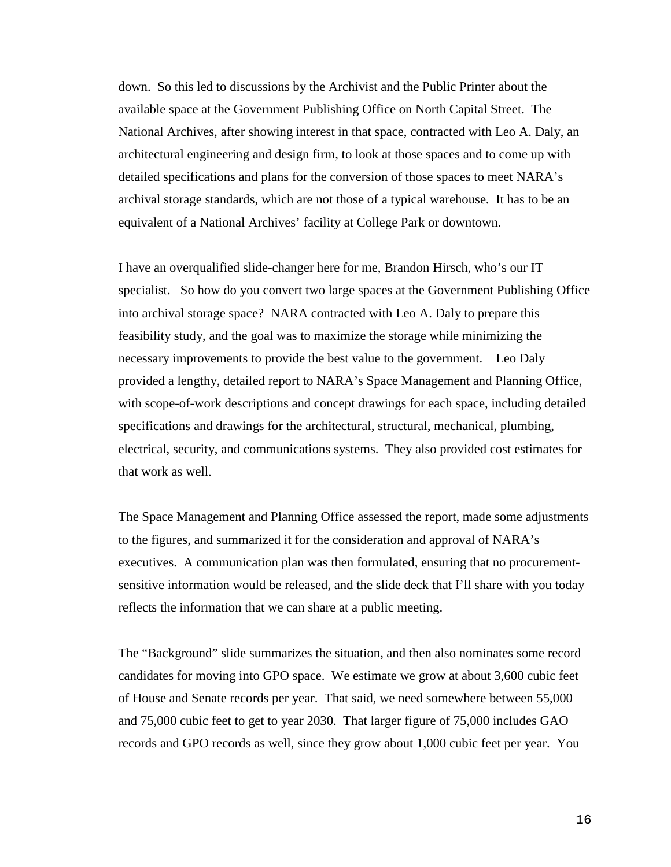down. So this led to discussions by the Archivist and the Public Printer about the available space at the Government Publishing Office on North Capital Street. The National Archives, after showing interest in that space, contracted with Leo A. Daly, an architectural engineering and design firm, to look at those spaces and to come up with detailed specifications and plans for the conversion of those spaces to meet NARA's archival storage standards, which are not those of a typical warehouse. It has to be an equivalent of a National Archives' facility at College Park or downtown.

I have an overqualified slide-changer here for me, Brandon Hirsch, who's our IT specialist. So how do you convert two large spaces at the Government Publishing Office into archival storage space? NARA contracted with Leo A. Daly to prepare this feasibility study, and the goal was to maximize the storage while minimizing the necessary improvements to provide the best value to the government. Leo Daly provided a lengthy, detailed report to NARA's Space Management and Planning Office, with scope-of-work descriptions and concept drawings for each space, including detailed specifications and drawings for the architectural, structural, mechanical, plumbing, electrical, security, and communications systems. They also provided cost estimates for that work as well.

The Space Management and Planning Office assessed the report, made some adjustments to the figures, and summarized it for the consideration and approval of NARA's executives. A communication plan was then formulated, ensuring that no procurementsensitive information would be released, and the slide deck that I'll share with you today reflects the information that we can share at a public meeting.

The "Background" slide summarizes the situation, and then also nominates some record candidates for moving into GPO space. We estimate we grow at about 3,600 cubic feet of House and Senate records per year. That said, we need somewhere between 55,000 and 75,000 cubic feet to get to year 2030. That larger figure of 75,000 includes GAO records and GPO records as well, since they grow about 1,000 cubic feet per year. You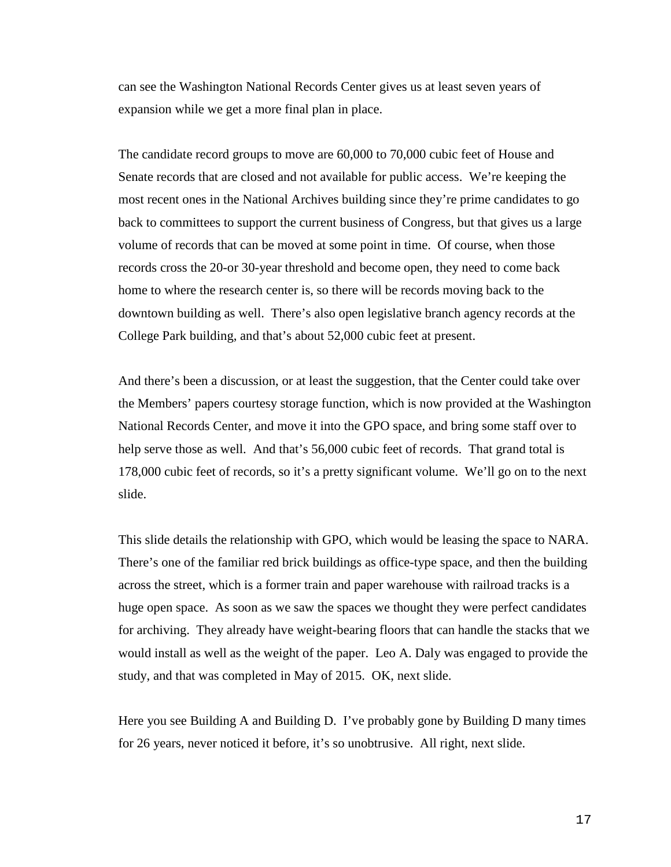can see the Washington National Records Center gives us at least seven years of expansion while we get a more final plan in place.

The candidate record groups to move are 60,000 to 70,000 cubic feet of House and Senate records that are closed and not available for public access. We're keeping the most recent ones in the National Archives building since they're prime candidates to go back to committees to support the current business of Congress, but that gives us a large volume of records that can be moved at some point in time. Of course, when those records cross the 20-or 30-year threshold and become open, they need to come back home to where the research center is, so there will be records moving back to the downtown building as well. There's also open legislative branch agency records at the College Park building, and that's about 52,000 cubic feet at present.

And there's been a discussion, or at least the suggestion, that the Center could take over the Members' papers courtesy storage function, which is now provided at the Washington National Records Center, and move it into the GPO space, and bring some staff over to help serve those as well. And that's 56,000 cubic feet of records. That grand total is 178,000 cubic feet of records, so it's a pretty significant volume. We'll go on to the next slide.

This slide details the relationship with GPO, which would be leasing the space to NARA. There's one of the familiar red brick buildings as office-type space, and then the building across the street, which is a former train and paper warehouse with railroad tracks is a huge open space. As soon as we saw the spaces we thought they were perfect candidates for archiving. They already have weight-bearing floors that can handle the stacks that we would install as well as the weight of the paper. Leo A. Daly was engaged to provide the study, and that was completed in May of 2015. OK, next slide.

Here you see Building A and Building D. I've probably gone by Building D many times for 26 years, never noticed it before, it's so unobtrusive. All right, next slide.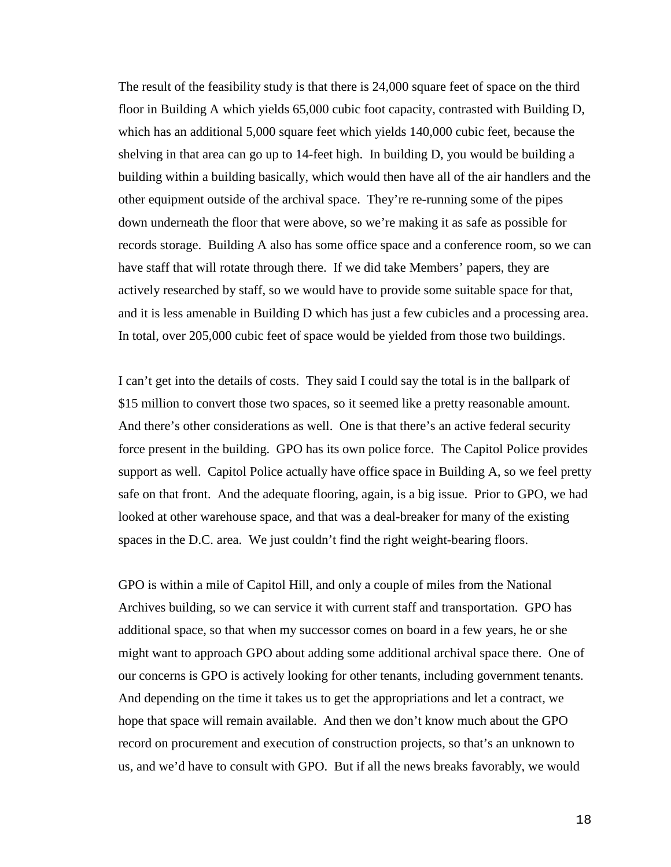The result of the feasibility study is that there is 24,000 square feet of space on the third floor in Building A which yields 65,000 cubic foot capacity, contrasted with Building D, which has an additional 5,000 square feet which yields 140,000 cubic feet, because the shelving in that area can go up to 14-feet high. In building D, you would be building a building within a building basically, which would then have all of the air handlers and the other equipment outside of the archival space. They're re-running some of the pipes down underneath the floor that were above, so we're making it as safe as possible for records storage. Building A also has some office space and a conference room, so we can have staff that will rotate through there. If we did take Members' papers, they are actively researched by staff, so we would have to provide some suitable space for that, and it is less amenable in Building D which has just a few cubicles and a processing area. In total, over 205,000 cubic feet of space would be yielded from those two buildings.

I can't get into the details of costs. They said I could say the total is in the ballpark of \$15 million to convert those two spaces, so it seemed like a pretty reasonable amount. And there's other considerations as well. One is that there's an active federal security force present in the building. GPO has its own police force. The Capitol Police provides support as well. Capitol Police actually have office space in Building A, so we feel pretty safe on that front. And the adequate flooring, again, is a big issue. Prior to GPO, we had looked at other warehouse space, and that was a deal-breaker for many of the existing spaces in the D.C. area. We just couldn't find the right weight-bearing floors.

GPO is within a mile of Capitol Hill, and only a couple of miles from the National Archives building, so we can service it with current staff and transportation. GPO has additional space, so that when my successor comes on board in a few years, he or she might want to approach GPO about adding some additional archival space there. One of our concerns is GPO is actively looking for other tenants, including government tenants. And depending on the time it takes us to get the appropriations and let a contract, we hope that space will remain available. And then we don't know much about the GPO record on procurement and execution of construction projects, so that's an unknown to us, and we'd have to consult with GPO. But if all the news breaks favorably, we would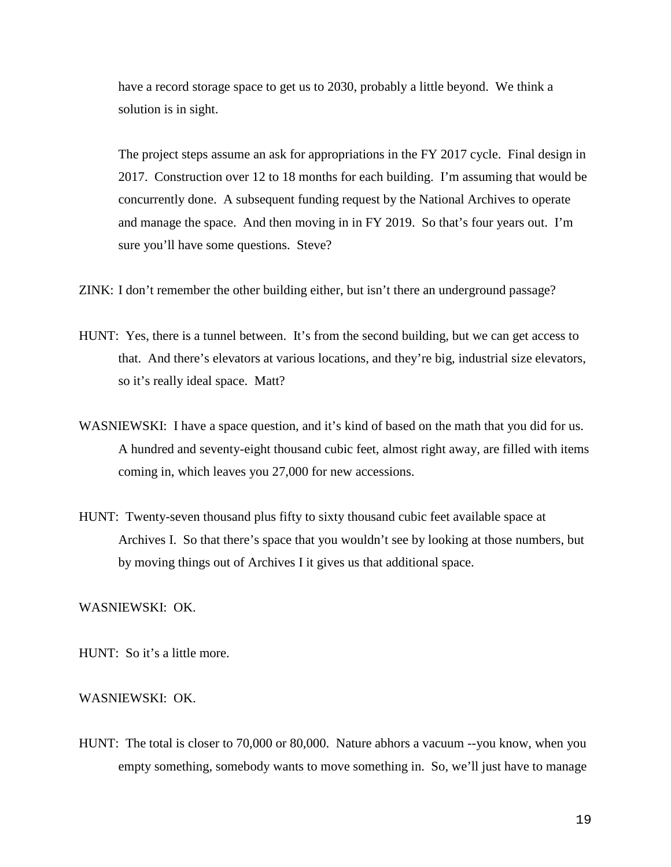have a record storage space to get us to 2030, probably a little beyond. We think a solution is in sight.

The project steps assume an ask for appropriations in the FY 2017 cycle. Final design in 2017. Construction over 12 to 18 months for each building. I'm assuming that would be concurrently done. A subsequent funding request by the National Archives to operate and manage the space. And then moving in in FY 2019. So that's four years out. I'm sure you'll have some questions. Steve?

ZINK: I don't remember the other building either, but isn't there an underground passage?

- HUNT: Yes, there is a tunnel between. It's from the second building, but we can get access to that. And there's elevators at various locations, and they're big, industrial size elevators, so it's really ideal space. Matt?
- WASNIEWSKI: I have a space question, and it's kind of based on the math that you did for us. A hundred and seventy-eight thousand cubic feet, almost right away, are filled with items coming in, which leaves you 27,000 for new accessions.
- HUNT: Twenty-seven thousand plus fifty to sixty thousand cubic feet available space at Archives I. So that there's space that you wouldn't see by looking at those numbers, but by moving things out of Archives I it gives us that additional space.

## WASNIEWSKI: OK.

HUNT: So it's a little more.

### WASNIEWSKI: OK.

HUNT: The total is closer to 70,000 or 80,000. Nature abhors a vacuum --you know, when you empty something, somebody wants to move something in. So, we'll just have to manage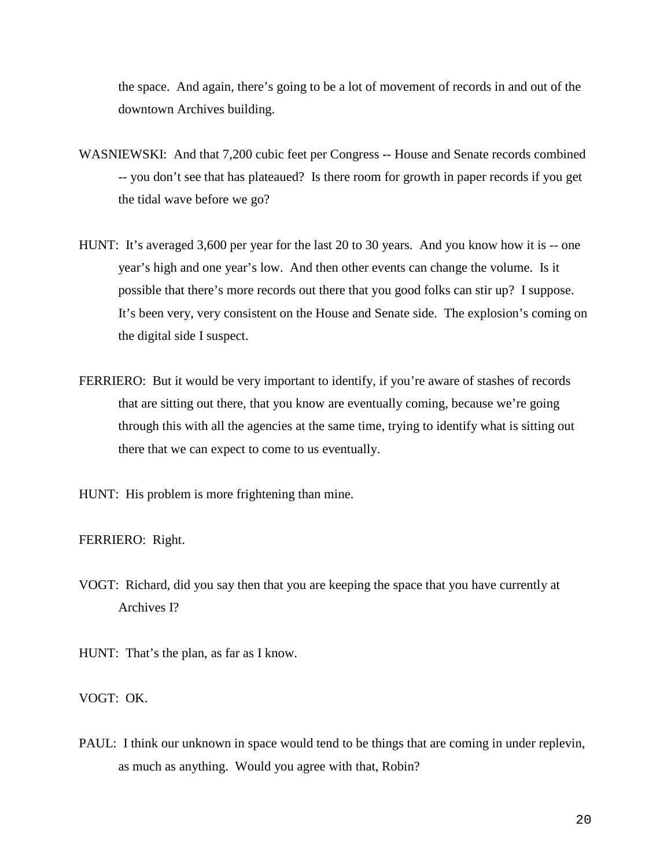the space. And again, there's going to be a lot of movement of records in and out of the downtown Archives building.

- WASNIEWSKI: And that 7,200 cubic feet per Congress -- House and Senate records combined -- you don't see that has plateaued? Is there room for growth in paper records if you get the tidal wave before we go?
- HUNT: It's averaged 3,600 per year for the last 20 to 30 years. And you know how it is -- one year's high and one year's low. And then other events can change the volume. Is it possible that there's more records out there that you good folks can stir up? I suppose. It's been very, very consistent on the House and Senate side. The explosion's coming on the digital side I suspect.
- FERRIERO: But it would be very important to identify, if you're aware of stashes of records that are sitting out there, that you know are eventually coming, because we're going through this with all the agencies at the same time, trying to identify what is sitting out there that we can expect to come to us eventually.
- HUNT: His problem is more frightening than mine.

#### FERRIERO: Right.

- VOGT: Richard, did you say then that you are keeping the space that you have currently at Archives I?
- HUNT: That's the plan, as far as I know.
- VOGT: OK.
- PAUL: I think our unknown in space would tend to be things that are coming in under replevin, as much as anything. Would you agree with that, Robin?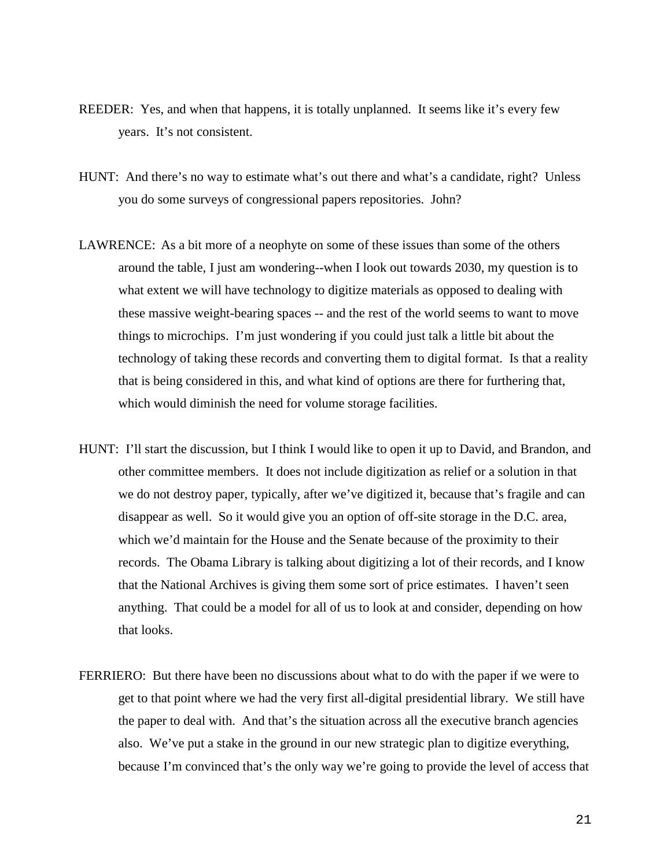- REEDER: Yes, and when that happens, it is totally unplanned. It seems like it's every few years. It's not consistent.
- HUNT: And there's no way to estimate what's out there and what's a candidate, right? Unless you do some surveys of congressional papers repositories. John?
- LAWRENCE: As a bit more of a neophyte on some of these issues than some of the others around the table, I just am wondering--when I look out towards 2030, my question is to what extent we will have technology to digitize materials as opposed to dealing with these massive weight-bearing spaces -- and the rest of the world seems to want to move things to microchips. I'm just wondering if you could just talk a little bit about the technology of taking these records and converting them to digital format. Is that a reality that is being considered in this, and what kind of options are there for furthering that, which would diminish the need for volume storage facilities.
- HUNT: I'll start the discussion, but I think I would like to open it up to David, and Brandon, and other committee members. It does not include digitization as relief or a solution in that we do not destroy paper, typically, after we've digitized it, because that's fragile and can disappear as well. So it would give you an option of off-site storage in the D.C. area, which we'd maintain for the House and the Senate because of the proximity to their records. The Obama Library is talking about digitizing a lot of their records, and I know that the National Archives is giving them some sort of price estimates. I haven't seen anything. That could be a model for all of us to look at and consider, depending on how that looks.
- FERRIERO: But there have been no discussions about what to do with the paper if we were to get to that point where we had the very first all-digital presidential library. We still have the paper to deal with. And that's the situation across all the executive branch agencies also. We've put a stake in the ground in our new strategic plan to digitize everything, because I'm convinced that's the only way we're going to provide the level of access that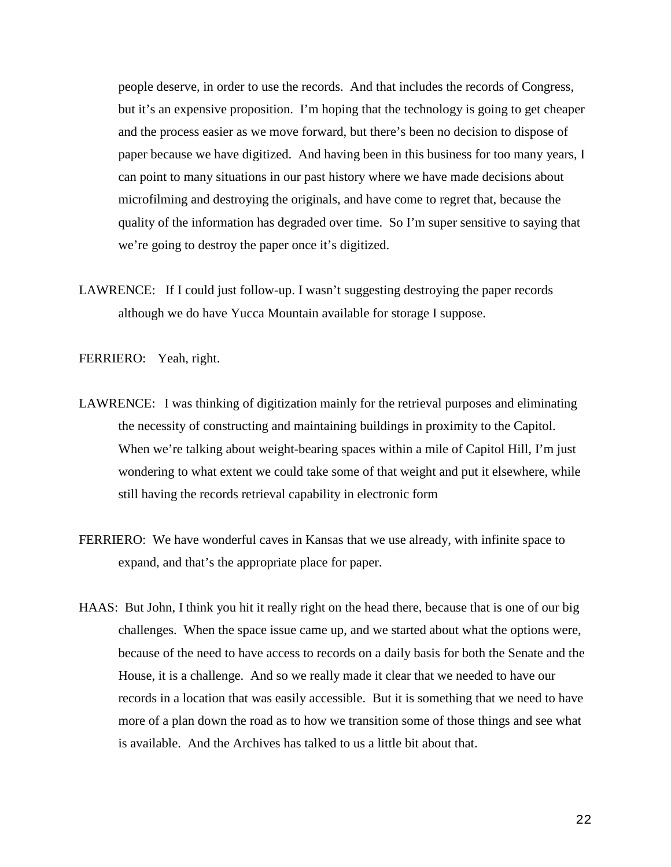people deserve, in order to use the records. And that includes the records of Congress, but it's an expensive proposition. I'm hoping that the technology is going to get cheaper and the process easier as we move forward, but there's been no decision to dispose of paper because we have digitized. And having been in this business for too many years, I can point to many situations in our past history where we have made decisions about microfilming and destroying the originals, and have come to regret that, because the quality of the information has degraded over time. So I'm super sensitive to saying that we're going to destroy the paper once it's digitized.

LAWRENCE: If I could just follow-up. I wasn't suggesting destroying the paper records although we do have Yucca Mountain available for storage I suppose.

FERRIERO: Yeah, right.

- LAWRENCE: I was thinking of digitization mainly for the retrieval purposes and eliminating the necessity of constructing and maintaining buildings in proximity to the Capitol. When we're talking about weight-bearing spaces within a mile of Capitol Hill, I'm just wondering to what extent we could take some of that weight and put it elsewhere, while still having the records retrieval capability in electronic form
- FERRIERO: We have wonderful caves in Kansas that we use already, with infinite space to expand, and that's the appropriate place for paper.
- HAAS: But John, I think you hit it really right on the head there, because that is one of our big challenges. When the space issue came up, and we started about what the options were, because of the need to have access to records on a daily basis for both the Senate and the House, it is a challenge. And so we really made it clear that we needed to have our records in a location that was easily accessible. But it is something that we need to have more of a plan down the road as to how we transition some of those things and see what is available. And the Archives has talked to us a little bit about that.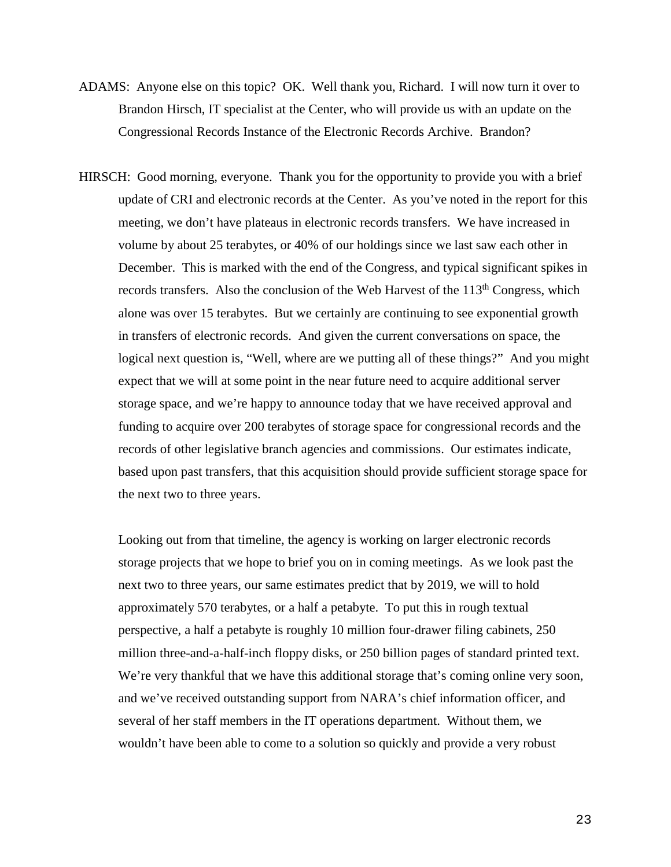- ADAMS: Anyone else on this topic? OK. Well thank you, Richard. I will now turn it over to Brandon Hirsch, IT specialist at the Center, who will provide us with an update on the Congressional Records Instance of the Electronic Records Archive. Brandon?
- HIRSCH: Good morning, everyone. Thank you for the opportunity to provide you with a brief update of CRI and electronic records at the Center. As you've noted in the report for this meeting, we don't have plateaus in electronic records transfers. We have increased in volume by about 25 terabytes, or 40% of our holdings since we last saw each other in December. This is marked with the end of the Congress, and typical significant spikes in records transfers. Also the conclusion of the Web Harvest of the 113<sup>th</sup> Congress, which alone was over 15 terabytes. But we certainly are continuing to see exponential growth in transfers of electronic records. And given the current conversations on space, the logical next question is, "Well, where are we putting all of these things?" And you might expect that we will at some point in the near future need to acquire additional server storage space, and we're happy to announce today that we have received approval and funding to acquire over 200 terabytes of storage space for congressional records and the records of other legislative branch agencies and commissions. Our estimates indicate, based upon past transfers, that this acquisition should provide sufficient storage space for the next two to three years.

Looking out from that timeline, the agency is working on larger electronic records storage projects that we hope to brief you on in coming meetings. As we look past the next two to three years, our same estimates predict that by 2019, we will to hold approximately 570 terabytes, or a half a petabyte. To put this in rough textual perspective, a half a petabyte is roughly 10 million four-drawer filing cabinets, 250 million three-and-a-half-inch floppy disks, or 250 billion pages of standard printed text. We're very thankful that we have this additional storage that's coming online very soon, and we've received outstanding support from NARA's chief information officer, and several of her staff members in the IT operations department. Without them, we wouldn't have been able to come to a solution so quickly and provide a very robust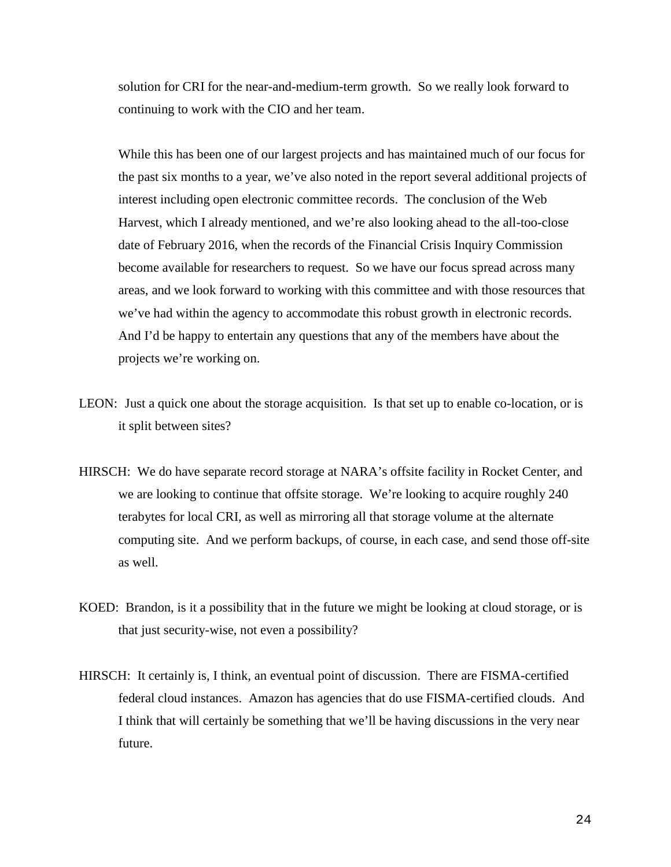solution for CRI for the near-and-medium-term growth. So we really look forward to continuing to work with the CIO and her team.

While this has been one of our largest projects and has maintained much of our focus for the past six months to a year, we've also noted in the report several additional projects of interest including open electronic committee records. The conclusion of the Web Harvest, which I already mentioned, and we're also looking ahead to the all-too-close date of February 2016, when the records of the Financial Crisis Inquiry Commission become available for researchers to request. So we have our focus spread across many areas, and we look forward to working with this committee and with those resources that we've had within the agency to accommodate this robust growth in electronic records. And I'd be happy to entertain any questions that any of the members have about the projects we're working on.

- LEON: Just a quick one about the storage acquisition. Is that set up to enable co-location, or is it split between sites?
- HIRSCH: We do have separate record storage at NARA's offsite facility in Rocket Center, and we are looking to continue that offsite storage. We're looking to acquire roughly 240 terabytes for local CRI, as well as mirroring all that storage volume at the alternate computing site. And we perform backups, of course, in each case, and send those off-site as well.
- KOED: Brandon, is it a possibility that in the future we might be looking at cloud storage, or is that just security-wise, not even a possibility?
- HIRSCH: It certainly is, I think, an eventual point of discussion. There are FISMA-certified federal cloud instances. Amazon has agencies that do use FISMA-certified clouds. And I think that will certainly be something that we'll be having discussions in the very near future.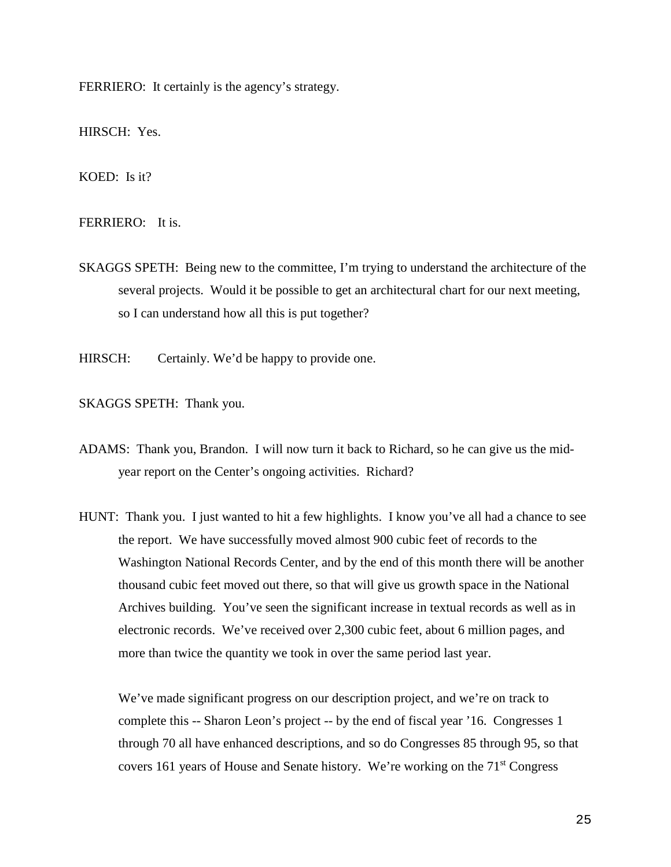FERRIERO: It certainly is the agency's strategy.

HIRSCH: Yes.

KOED: Is it?

FERRIERO: It is.

SKAGGS SPETH: Being new to the committee, I'm trying to understand the architecture of the several projects. Would it be possible to get an architectural chart for our next meeting, so I can understand how all this is put together?

HIRSCH: Certainly. We'd be happy to provide one.

SKAGGS SPETH: Thank you.

ADAMS: Thank you, Brandon. I will now turn it back to Richard, so he can give us the midyear report on the Center's ongoing activities. Richard?

HUNT: Thank you. I just wanted to hit a few highlights. I know you've all had a chance to see the report. We have successfully moved almost 900 cubic feet of records to the Washington National Records Center, and by the end of this month there will be another thousand cubic feet moved out there, so that will give us growth space in the National Archives building. You've seen the significant increase in textual records as well as in electronic records. We've received over 2,300 cubic feet, about 6 million pages, and more than twice the quantity we took in over the same period last year.

We've made significant progress on our description project, and we're on track to complete this -- Sharon Leon's project -- by the end of fiscal year '16. Congresses 1 through 70 all have enhanced descriptions, and so do Congresses 85 through 95, so that covers 161 years of House and Senate history. We're working on the 71st Congress